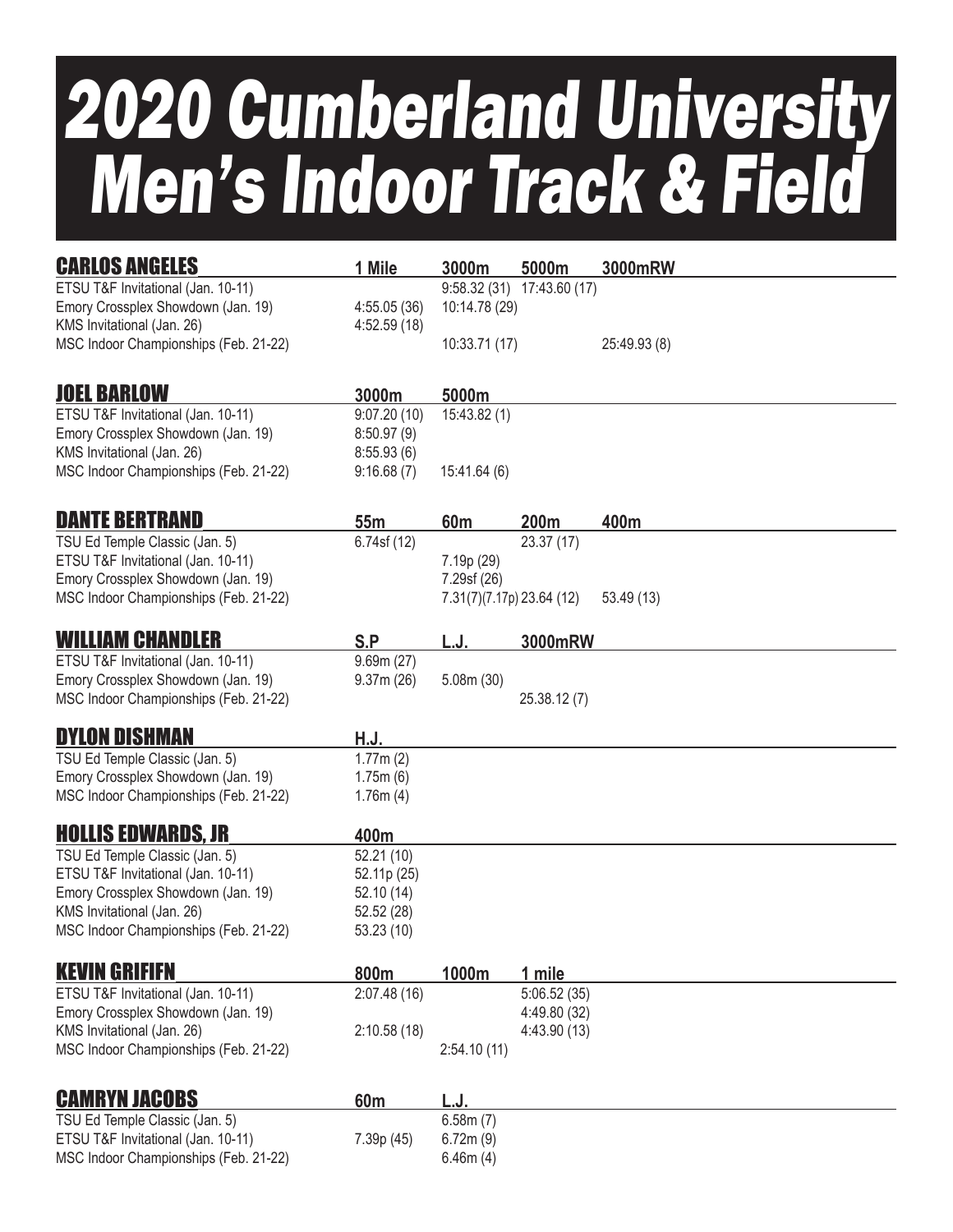## 2020 Cumberland University Men's Indoor Track & Field

| <b>CARLOS ANGELES</b>                                                       | 1 Mile                     | 3000m                     | 5000m                 | 3000mRW      |
|-----------------------------------------------------------------------------|----------------------------|---------------------------|-----------------------|--------------|
| ETSU T&F Invitational (Jan. 10-11)                                          |                            | 9:58.32(31)               | 17:43.60 (17)         |              |
| Emory Crossplex Showdown (Jan. 19)<br>KMS Invitational (Jan. 26)            | 4:55.05(36)<br>4:52.59(18) | 10:14.78 (29)             |                       |              |
| MSC Indoor Championships (Feb. 21-22)                                       |                            | 10:33.71 (17)             |                       | 25:49.93 (8) |
|                                                                             |                            |                           |                       |              |
| <b>JOEL BARLOW</b>                                                          | 3000m                      | 5000m                     |                       |              |
| ETSU T&F Invitational (Jan. 10-11)<br>Emory Crossplex Showdown (Jan. 19)    | 9:07.20(10)                | 15:43.82 (1)              |                       |              |
| KMS Invitational (Jan. 26)                                                  | 8:50.97(9)<br>8:55.93(6)   |                           |                       |              |
| MSC Indoor Championships (Feb. 21-22)                                       | 9:16.68(7)                 | 15:41.64 (6)              |                       |              |
| <b>DANTE BERTRAND</b>                                                       |                            |                           |                       |              |
| TSU Ed Temple Classic (Jan. 5)                                              | 55m<br>6.74sf (12)         | 60 <sub>m</sub>           | 200m<br>23.37 (17)    | 400m         |
| ETSU T&F Invitational (Jan. 10-11)                                          |                            | 7.19p (29)                |                       |              |
| Emory Crossplex Showdown (Jan. 19)                                          |                            | 7.29sf (26)               |                       |              |
| MSC Indoor Championships (Feb. 21-22)                                       |                            | 7.31(7)(7.17p) 23.64 (12) |                       | 53.49(13)    |
| <b>WILLIAM CHANDLER</b>                                                     | S.P                        | L.J.                      | <b>3000mRW</b>        |              |
| ETSU T&F Invitational (Jan. 10-11)                                          | 9.69m(27)                  |                           |                       |              |
| Emory Crossplex Showdown (Jan. 19)<br>MSC Indoor Championships (Feb. 21-22) | 9.37m(26)                  | 5.08m(30)                 |                       |              |
|                                                                             |                            |                           | 25.38.12 (7)          |              |
| <b>DYLON DISHMAN</b>                                                        | H.J.                       |                           |                       |              |
| TSU Ed Temple Classic (Jan. 5)                                              | 1.77m(2)                   |                           |                       |              |
| Emory Crossplex Showdown (Jan. 19)                                          | 1.75m(6)                   |                           |                       |              |
| MSC Indoor Championships (Feb. 21-22)                                       | 1.76m(4)                   |                           |                       |              |
| <b>HOLLIS EDWARDS, JR</b>                                                   | 400m                       |                           |                       |              |
| TSU Ed Temple Classic (Jan. 5)                                              | 52.21 (10)                 |                           |                       |              |
| ETSU T&F Invitational (Jan. 10-11)                                          | 52.11p (25)                |                           |                       |              |
| Emory Crossplex Showdown (Jan. 19)<br>KMS Invitational (Jan. 26)            | 52.10(14)<br>52.52 (28)    |                           |                       |              |
| MSC Indoor Championships (Feb. 21-22)                                       | 53.23 (10)                 |                           |                       |              |
| <b>KEVIN GRIFIFN</b>                                                        |                            |                           |                       |              |
| ETSU T&F Invitational (Jan. 10-11)                                          | 800m<br>2:07.48(16)        | 1000m                     | 1 mile<br>5:06.52(35) |              |
| Emory Crossplex Showdown (Jan. 19)                                          |                            |                           | 4:49.80 (32)          |              |
| KMS Invitational (Jan. 26)                                                  | 2:10.58(18)                |                           | 4:43.90 (13)          |              |
| MSC Indoor Championships (Feb. 21-22)                                       |                            | 2:54.10(11)               |                       |              |
| <b>CAMRYN JACOBS</b>                                                        | 60 <sub>m</sub>            | L.J.                      |                       |              |
| TSU Ed Temple Classic (Jan. 5)                                              |                            | 6.58m(7)                  |                       |              |
| ETSU T&F Invitational (Jan. 10-11)                                          | 7.39p (45)                 | 6.72m(9)                  |                       |              |
| MSC Indoor Championships (Feb. 21-22)                                       |                            | 6.46m(4)                  |                       |              |
|                                                                             |                            |                           |                       |              |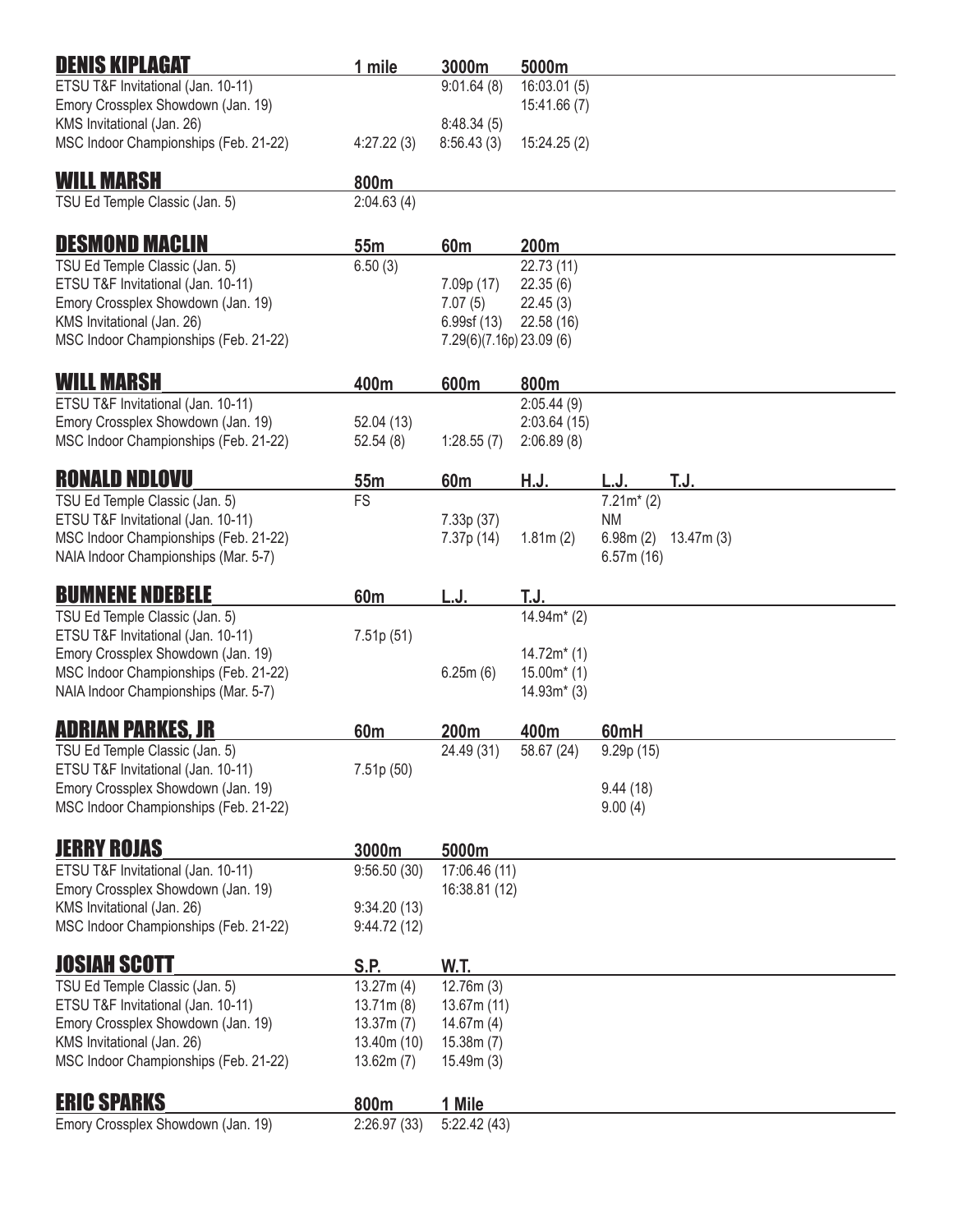| <b>DENIS KIPLAGAT</b>                                                         | 1 mile                  | 3000m                                  | 5000m           |                       |           |  |
|-------------------------------------------------------------------------------|-------------------------|----------------------------------------|-----------------|-----------------------|-----------|--|
| ETSU T&F Invitational (Jan. 10-11)                                            |                         | 9:01.64(8)                             | 16:03.01(5)     |                       |           |  |
| Emory Crossplex Showdown (Jan. 19)                                            |                         |                                        | 15:41.66(7)     |                       |           |  |
| KMS Invitational (Jan. 26)<br>MSC Indoor Championships (Feb. 21-22)           | 4:27.22(3)              | 8:48.34(5)<br>8:56.43(3)               | 15:24.25 (2)    |                       |           |  |
|                                                                               |                         |                                        |                 |                       |           |  |
| <b>WILL MARSH</b>                                                             | 800m                    |                                        |                 |                       |           |  |
| TSU Ed Temple Classic (Jan. 5)                                                | 2:04.63(4)              |                                        |                 |                       |           |  |
| <b>DESMOND MACLIN</b>                                                         | 55m                     | 60m                                    | 200m            |                       |           |  |
| TSU Ed Temple Classic (Jan. 5)                                                | 6.50(3)                 |                                        | 22.73(11)       |                       |           |  |
| ETSU T&F Invitational (Jan. 10-11)                                            |                         | 7.09p (17)                             | 22.35(6)        |                       |           |  |
| Emory Crossplex Showdown (Jan. 19)                                            |                         | 7.07(5)                                | 22.45(3)        |                       |           |  |
| KMS Invitational (Jan. 26)<br>MSC Indoor Championships (Feb. 21-22)           |                         | 6.99sf(13)<br>7.29(6)(7.16p) 23.09 (6) | 22.58 (16)      |                       |           |  |
|                                                                               |                         |                                        |                 |                       |           |  |
| WILL MARSH                                                                    | 400m                    | 600m                                   | 800m            |                       |           |  |
| ETSU T&F Invitational (Jan. 10-11)                                            |                         |                                        | 2:05.44(9)      |                       |           |  |
| Emory Crossplex Showdown (Jan. 19)                                            | 52.04 (13)              |                                        | 2:03.64(15)     |                       |           |  |
| MSC Indoor Championships (Feb. 21-22)                                         | 52.54(8)                | 1:28.55(7)                             | 2:06.89(8)      |                       |           |  |
| <b>RONALD NDLOVU</b>                                                          | 55m                     | 60m                                    | H.J.            | L.J.                  | T.J.      |  |
| TSU Ed Temple Classic (Jan. 5)                                                | FS                      |                                        |                 | $7.21m*$ (2)          |           |  |
| ETSU T&F Invitational (Jan. 10-11)                                            |                         | 7.33p (37)                             |                 | <b>NM</b>             |           |  |
| MSC Indoor Championships (Feb. 21-22)<br>NAIA Indoor Championships (Mar. 5-7) |                         | 7.37p (14)                             | 1.81m(2)        | 6.98m(2)<br>6.57m(16) | 13.47m(3) |  |
|                                                                               |                         |                                        |                 |                       |           |  |
| <b>BUMNENE NDEBELE</b>                                                        | 60 <sub>m</sub>         | L.J.                                   | T.J.            |                       |           |  |
| TSU Ed Temple Classic (Jan. 5)                                                |                         |                                        | $14.94m^{*}(2)$ |                       |           |  |
| ETSU T&F Invitational (Jan. 10-11)<br>Emory Crossplex Showdown (Jan. 19)      | 7.51p(51)               |                                        | $14.72m*$ (1)   |                       |           |  |
| MSC Indoor Championships (Feb. 21-22)                                         |                         | 6.25m(6)                               | $15.00m*$ (1)   |                       |           |  |
| NAIA Indoor Championships (Mar. 5-7)                                          |                         |                                        | $14.93m*$ (3)   |                       |           |  |
| ADRIAN PARKES, JR                                                             | 60 <sub>m</sub>         | 200m                                   | 400m            | 60mH                  |           |  |
| TSU Ed Temple Classic (Jan. 5)                                                |                         | 24.49 (31)                             | 58.67 (24)      | 9.29p(15)             |           |  |
| ETSU T&F Invitational (Jan. 10-11)                                            | 7.51p (50)              |                                        |                 |                       |           |  |
| Emory Crossplex Showdown (Jan. 19)                                            |                         |                                        |                 | 9.44(18)              |           |  |
| MSC Indoor Championships (Feb. 21-22)                                         |                         |                                        |                 | 9.00(4)               |           |  |
| <b>JERRY ROJAS</b>                                                            | 3000m                   | 5000m                                  |                 |                       |           |  |
| ETSU T&F Invitational (Jan. 10-11)                                            | 9:56.50(30)             | 17:06.46 (11)                          |                 |                       |           |  |
| Emory Crossplex Showdown (Jan. 19)                                            |                         | 16:38.81 (12)                          |                 |                       |           |  |
| KMS Invitational (Jan. 26)                                                    | 9:34.20(13)             |                                        |                 |                       |           |  |
| MSC Indoor Championships (Feb. 21-22)                                         | 9:44.72(12)             |                                        |                 |                       |           |  |
| <b>JOSIAH SCOTT</b>                                                           | S.P.                    | W.T.                                   |                 |                       |           |  |
| TSU Ed Temple Classic (Jan. 5)                                                | 13.27m(4)               | 12.76m(3)                              |                 |                       |           |  |
| ETSU T&F Invitational (Jan. 10-11)                                            | 13.71m(8)               | 13.67m(11)                             |                 |                       |           |  |
| Emory Crossplex Showdown (Jan. 19)                                            | 13.37m(7)               | 14.67m(4)                              |                 |                       |           |  |
| KMS Invitational (Jan. 26)<br>MSC Indoor Championships (Feb. 21-22)           | 13.40m(10)<br>13.62m(7) | 15.38m(7)<br>15.49m(3)                 |                 |                       |           |  |
|                                                                               |                         |                                        |                 |                       |           |  |
| <b>ERIC SPARKS</b>                                                            | 800m                    | 1 Mile                                 |                 |                       |           |  |
| Emory Crossplex Showdown (Jan. 19)                                            | 2:26.97(33)             | 5:22.42(43)                            |                 |                       |           |  |